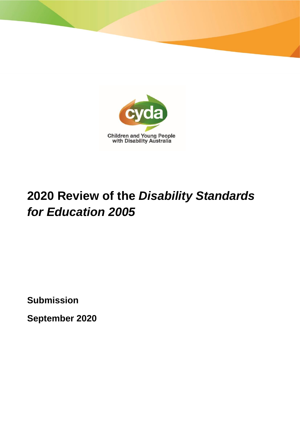

# **2020 Review of the** *Disability Standards for Education 2005*

**Submission**

**September 2020**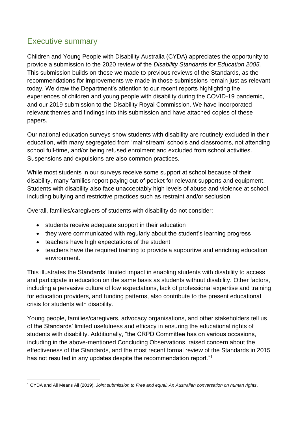# Executive summary

Children and Young People with Disability Australia (CYDA) appreciates the opportunity to provide a submission to the 2020 review of the *Disability Standards for Education 2005.*  This submission builds on those we made to previous reviews of the Standards, as the recommendations for improvements we made in those submissions remain just as relevant today. We draw the Department's attention to our recent reports highlighting the experiences of children and young people with disability during the COVID-19 pandemic, and our 2019 submission to the Disability Royal Commission. We have incorporated relevant themes and findings into this submission and have attached copies of these papers.

Our national education surveys show students with disability are routinely excluded in their education, with many segregated from 'mainstream' schools and classrooms, not attending school full-time, and/or being refused enrolment and excluded from school activities. Suspensions and expulsions are also common practices.

While most students in our surveys receive some support at school because of their disability, many families report paying out-of-pocket for relevant supports and equipment. Students with disability also face unacceptably high levels of abuse and violence at school, including bullying and restrictive practices such as restraint and/or seclusion.

Overall, families/caregivers of students with disability do not consider:

- students receive adequate support in their education
- they were communicated with regularly about the student's learning progress
- teachers have high expectations of the student
- teachers have the required training to provide a supportive and enriching education environment.

This illustrates the Standards' limited impact in enabling students with disability to access and participate in education on the same basis as students without disability. Other factors, including a pervasive culture of low expectations, lack of professional expertise and training for education providers, and funding patterns, also contribute to the present educational crisis for students with disability.

Young people, families/caregivers, advocacy organisations, and other stakeholders tell us of the Standards' limited usefulness and efficacy in ensuring the educational rights of students with disability. Additionally, "the CRPD Committee has on various occasions, including in the above-mentioned Concluding Observations, raised concern about the effectiveness of the Standards, and the most recent formal review of the Standards in 2015 has not resulted in any updates despite the recommendation report."<sup>1</sup>

<sup>1</sup> CYDA and All Means All (2019). *Joint submission to Free and equal: An Australian conversation on human rights*.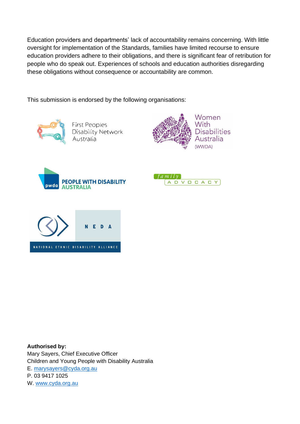Education providers and departments' lack of accountability remains concerning. With little oversight for implementation of the Standards, families have limited recourse to ensure education providers adhere to their obligations, and there is significant fear of retribution for people who do speak out. Experiences of schools and education authorities disregarding these obligations without consequence or accountability are common.

This submission is endorsed by the following organisations:



**First Peoples** Disability Network Australia









**Authorised by:**  Mary Sayers, Chief Executive Officer Children and Young People with Disability Australia E. [marysayers@cyda.org.au](mailto:marysayers@cyda.org.au) P. 03 9417 1025 W. [www.cyda.org.au](http://www.cyda.org.au/)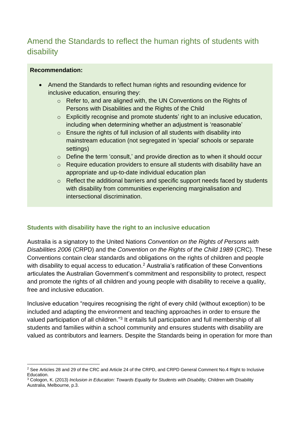# Amend the Standards to reflect the human rights of students with disability

## **Recommendation:**

- Amend the Standards to reflect human rights and resounding evidence for inclusive education, ensuring they:
	- o Refer to, and are aligned with, the UN Conventions on the Rights of Persons with Disabilities and the Rights of the Child
	- o Explicitly recognise and promote students' right to an inclusive education, including when determining whether an adjustment is 'reasonable'
	- $\circ$  Ensure the rights of full inclusion of all students with disability into mainstream education (not segregated in 'special' schools or separate settings)
	- o Define the term 'consult,' and provide direction as to when it should occur
	- o Require education providers to ensure all students with disability have an appropriate and up-to-date individual education plan
	- o Reflect the additional barriers and specific support needs faced by students with disability from communities experiencing marginalisation and intersectional discrimination.

## **Students with disability have the right to an inclusive education**

Australia is a signatory to the United Nations *Convention on the Rights of Persons with Disabilities 2006* (CRPD) and the *Convention on the Rights of the Child 1989* (CRC). These Conventions contain clear standards and obligations on the rights of children and people with disability to equal access to education.<sup>2</sup> Australia's ratification of these Conventions articulates the Australian Government's commitment and responsibility to protect, respect and promote the rights of all children and young people with disability to receive a quality, free and inclusive education.

Inclusive education "requires recognising the right of every child (without exception) to be included and adapting the environment and teaching approaches in order to ensure the valued participation of all children."<sup>3</sup> It entails full participation and full membership of all students and families within a school community and ensures students with disability are valued as contributors and learners. Despite the Standards being in operation for more than

<sup>&</sup>lt;sup>2</sup> See Articles 28 and 29 of the CRC and Article 24 of the CRPD, and CRPD General Comment No.4 Right to Inclusive Education.

<sup>3</sup> Cologon, K. (2013) *Inclusion in Education: Towards Equality for Students with Disability,* Children with Disability Australia, Melbourne, p.3.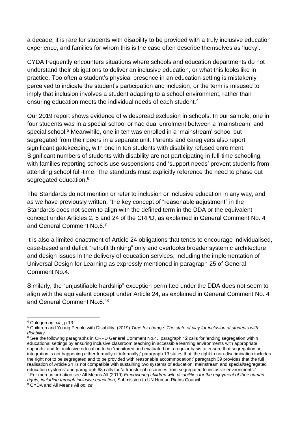a decade, it is rare for students with disability to be provided with a truly inclusive education experience, and families for whom this is the case often describe themselves as 'lucky'.

CYDA frequently encounters situations where schools and education departments do not understand their obligations to deliver an inclusive education, or what this looks like in practice. Too often a student's physical presence in an education setting is mistakenly perceived to indicate the student's participation and inclusion; or the term is misused to imply that inclusion involves a student adapting to a school environment, rather than ensuring education meets the individual needs of each student.<sup>4</sup>

Our 2019 report shows evidence of widespread exclusion in schools. In our sample, one in four students was in a special school or had dual enrolment between a 'mainstream' and special school.<sup>5</sup> Meanwhile, one in ten was enrolled in a 'mainstream' school but segregated from their peers in a separate unit. Parents and caregivers also report significant gatekeeping, with one in ten students with disability refused enrolment. Significant numbers of students with disability are not participating in full-time schooling, with families reporting schools use suspensions and 'support needs' prevent students from attending school full-time. The standards must explicitly reference the need to phase out segregated education.<sup>6</sup>

The Standards do not mention or refer to inclusion or inclusive education in any way, and as we have previously written, "the key concept of "reasonable adjustment" in the Standards does not seem to align with the defined term in the DDA or the equivalent concept under Articles 2, 5 and 24 of the CRPD, as explained in General Comment No. 4 and General Comment No.6.<sup>7</sup>

It is also a limited enactment of Article 24 obligations that tends to encourage individualised, case-based and deficit "retrofit thinking" only and overlooks broader systemic architecture and design issues in the delivery of education services, including the implementation of Universal Design for Learning as expressly mentioned in paragraph 25 of General Comment No.4.

Similarly, the "unjustifiable hardship" exception permitted under the DDA does not seem to align with the equivalent concept under Article 24, as explained in General Comment No. 4 and General Comment No.6."<sup>8</sup>

*rights, including through inclusive education*, Submission to UN Human Rights Council.

<sup>4</sup> Cologon *op. cit.*, p.13.

<sup>5</sup> Children and Young People with Disability. (2019) *Time for change: The state of play for inclusion of students with disability*.

<sup>&</sup>lt;sup>6</sup> See the following paragraphs in CRPD General Comment No.4.: paragraph 12 calls for 'ending segregation within educational settings by ensuring inclusive classroom teaching in accessible learning environments with appropriate supports' and for inclusive education to be 'monitored and evaluated on a regular basis to ensure that segregation or integration is not happening either formally or informally;' paragraph 13 states that 'the right to non-discrimination includes the right not to be segregated and to be provided with reasonable accommodation;' paragraph 39 provides that the full realisation of Article 24 'is not compatible with sustaining two systems of education: mainstream and special/segregated education systems' and paragraph 68 calls for 'a transfer of resources from segregated to inclusive environments.' <sup>7</sup> For more information see All Means All (2019) *Empowering children with disabilities for the enjoyment of their human* 

<sup>8</sup> CYDA and All Means All *op. cit*.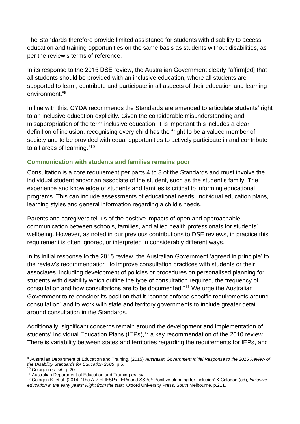The Standards therefore provide limited assistance for students with disability to access education and training opportunities on the same basis as students without disabilities, as per the review's terms of reference.

In its response to the 2015 DSE review, the Australian Government clearly "affirm [ed] that all students should be provided with an inclusive education, where all students are supported to learn, contribute and participate in all aspects of their education and learning environment<sup>"9</sup>

In line with this, CYDA recommends the Standards are amended to articulate students' right to an inclusive education explicitly. Given the considerable misunderstanding and misappropriation of the term inclusive education, it is important this includes a clear definition of inclusion, recognising every child has the "right to be a valued member of society and to be provided with equal opportunities to actively participate in and contribute to all areas of learning."<sup>10</sup>

## **Communication with students and families remains poor**

Consultation is a core requirement per parts 4 to 8 of the Standards and must involve the individual student and/or an associate of the student, such as the student's family. The experience and knowledge of students and families is critical to informing educational programs. This can include assessments of educational needs, individual education plans, learning styles and general information regarding a child's needs.

Parents and caregivers tell us of the positive impacts of open and approachable communication between schools, families, and allied health professionals for students' wellbeing. However, as noted in our previous contributions to DSE reviews, in practice this requirement is often ignored, or interpreted in considerably different ways.

In its initial response to the 2015 review, the Australian Government 'agreed in principle' to the review's recommendation "to improve consultation practices with students or their associates, including development of policies or procedures on personalised planning for students with disability which outline the type of consultation required, the frequency of consultation and how consultations are to be documented."<sup>11</sup> We urge the Australian Government to re-consider its position that it "cannot enforce specific requirements around consultation" and to work with state and territory governments to include greater detail around consultation in the Standards.

Additionally, significant concerns remain around the development and implementation of students' Individual Education Plans (IEPs),<sup>12</sup> a key recommendation of the 2010 review. There is variability between states and territories regarding the requirements for IEPs, and

<sup>9</sup> Australian Department of Education and Training. (2015) *Australian Government Initial Response to the 2015 Review of the Disability Standards for Education 2005*, p.5.

<sup>10</sup> Cologon *op. cit.*, p.20.

<sup>11</sup> Australian Department of Education and Training *op. cit.*

<sup>12</sup> Cologon K. et al. (2014) 'The A-Z of IFSPs, IEPs and SSPs!: Positive planning for inclusion' K Cologon (ed), *Inclusive education in the early years: Right from the start,* Oxford University Press, South Melbourne, p.211.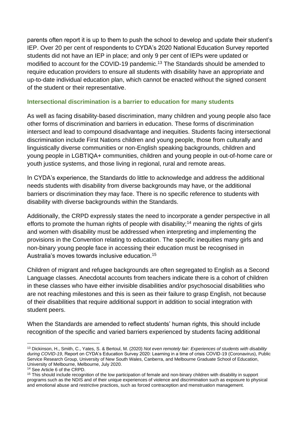parents often report it is up to them to push the school to develop and update their student's IEP. Over 20 per cent of respondents to CYDA's 2020 National Education Survey reported students did not have an IEP in place; and only 9 per cent of IEPs were updated or modified to account for the COVID-19 pandemic.<sup>13</sup> The Standards should be amended to require education providers to ensure all students with disability have an appropriate and up-to-date individual education plan, which cannot be enacted without the signed consent of the student or their representative.

## **Intersectional discrimination is a barrier to education for many students**

As well as facing disability-based discrimination, many children and young people also face other forms of discrimination and barriers in education. These forms of discrimination intersect and lead to compound disadvantage and inequities. Students facing intersectional discrimination include First Nations children and young people, those from culturally and linguistically diverse communities or non-English speaking backgrounds, children and young people in LGBTIQA+ communities, children and young people in out-of-home care or youth justice systems, and those living in regional, rural and remote areas.

In CYDA's experience, the Standards do little to acknowledge and address the additional needs students with disability from diverse backgrounds may have, or the additional barriers or discrimination they may face. There is no specific reference to students with disability with diverse backgrounds within the Standards.

Additionally, the CRPD expressly states the need to incorporate a gender perspective in all efforts to promote the human rights of people with disability;<sup>14</sup> meaning the rights of girls and women with disability must be addressed when interpreting and implementing the provisions in the Convention relating to education. The specific inequities many girls and non-binary young people face in accessing their education must be recognised in Australia's moves towards inclusive education.<sup>15</sup>

Children of migrant and refugee backgrounds are often segregated to English as a Second Language classes. Anecdotal accounts from teachers indicate there is a cohort of children in these classes who have either invisible disabilities and/or psychosocial disabilities who are not reaching milestones and this is seen as their failure to grasp English, not because of their disabilities that require additional support in addition to social integration with student peers.

When the Standards are amended to reflect students' human rights, this should include recognition of the specific and varied barriers experienced by students facing additional

<sup>13</sup> Dickinson, H., Smith, C., Yates, S. & Bertoul, M. (2020) *Not even remotely fair: Experiences of students with disability during COVID-19*, Report on CYDA's Education Survey 2020: Learning in a time of crisis COVID-19 (Coronavirus), Public Service Research Group, University of New South Wales, Canberra, and Melbourne Graduate School of Education, University of Melbourne, Melbourne, July 2020.

<sup>14</sup> See Article 6 of the CRPD.

<sup>&</sup>lt;sup>15</sup> This should include recognition of the low participation of female and non-binary children with disability in support programs such as the NDIS and of their unique experiences of violence and discrimination such as exposure to physical and emotional abuse and restrictive practices, such as forced contraception and menstruation management.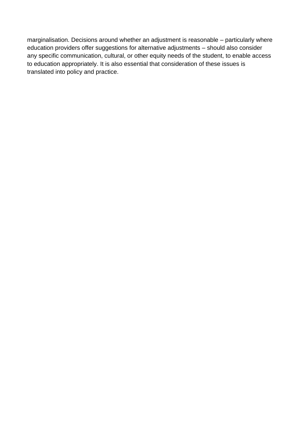marginalisation. Decisions around whether an adjustment is reasonable – particularly where education providers offer suggestions for alternative adjustments – should also consider any specific communication, cultural, or other equity needs of the student, to enable access to education appropriately. It is also essential that consideration of these issues is translated into policy and practice.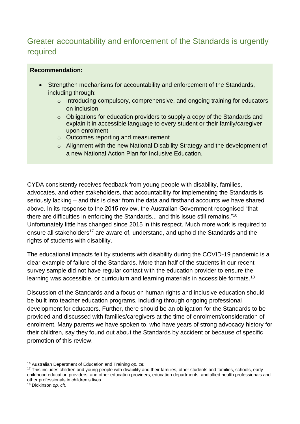# Greater accountability and enforcement of the Standards is urgently required

#### **Recommendation:**

- Strengthen mechanisms for accountability and enforcement of the Standards, including through:
	- o Introducing compulsory, comprehensive, and ongoing training for educators on inclusion
	- $\circ$  Obligations for education providers to supply a copy of the Standards and explain it in accessible language to every student or their family/caregiver upon enrolment
	- o Outcomes reporting and measurement
	- o Alignment with the new National Disability Strategy and the development of a new National Action Plan for Inclusive Education.

CYDA consistently receives feedback from young people with disability, families, advocates, and other stakeholders, that accountability for implementing the Standards is seriously lacking – and this is clear from the data and firsthand accounts we have shared above. In its response to the 2015 review, the Australian Government recognised "that there are difficulties in enforcing the Standards... and this issue still remains."<sup>16</sup> Unfortunately little has changed since 2015 in this respect. Much more work is required to ensure all stakeholders<sup>17</sup> are aware of, understand, and uphold the Standards and the rights of students with disability.

The educational impacts felt by students with disability during the COVID-19 pandemic is a clear example of failure of the Standards. More than half of the students in our recent survey sample did not have regular contact with the education provider to ensure the learning was accessible, or curriculum and learning materials in accessible formats.<sup>18</sup>

Discussion of the Standards and a focus on human rights and inclusive education should be built into teacher education programs, including through ongoing professional development for educators. Further, there should be an obligation for the Standards to be provided and discussed with families/caregivers at the time of enrolment/consideration of enrolment. Many parents we have spoken to, who have years of strong advocacy history for their children, say they found out about the Standards by accident or because of specific promotion of this review.

<sup>16</sup> Australian Department of Education and Training *op. cit.*

<sup>&</sup>lt;sup>17</sup> This includes children and young people with disability and their families, other students and families, schools, early childhood education providers, and other education providers, education departments, and allied health professionals and other professionals in children's lives.

<sup>18</sup> Dickinson *op. cit.*